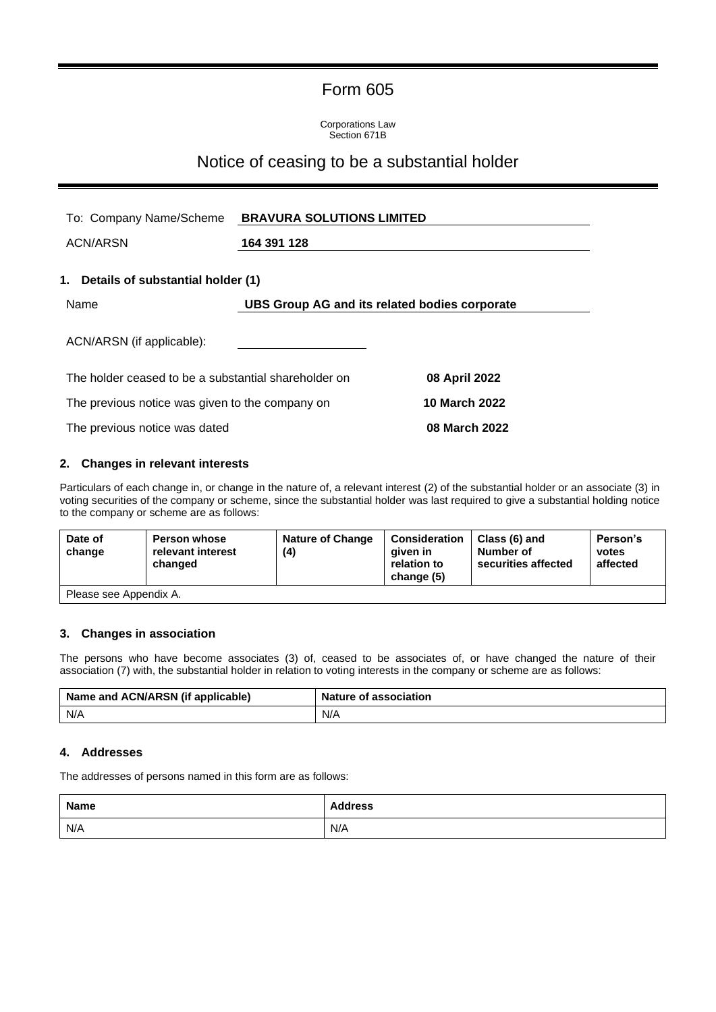# Form 605

Corporations Law Section 671B

## Notice of ceasing to be a substantial holder

| To: Company Name/Scheme                              | <b>BRAVURA SOLUTIONS LIMITED</b>              |                      |
|------------------------------------------------------|-----------------------------------------------|----------------------|
| ACN/ARSN                                             | 164 391 128                                   |                      |
| 1. Details of substantial holder (1)                 |                                               |                      |
| Name                                                 | UBS Group AG and its related bodies corporate |                      |
| ACN/ARSN (if applicable):                            |                                               |                      |
| The holder ceased to be a substantial shareholder on |                                               | 08 April 2022        |
| The previous notice was given to the company on      |                                               | <b>10 March 2022</b> |
| The previous notice was dated                        |                                               | 08 March 2022        |

### **2. Changes in relevant interests**

Particulars of each change in, or change in the nature of, a relevant interest (2) of the substantial holder or an associate (3) in voting securities of the company or scheme, since the substantial holder was last required to give a substantial holding notice to the company or scheme are as follows:

| Date of<br>change      | <b>Person whose</b><br>relevant interest<br>changed | <b>Nature of Change</b><br>(4) | <b>Consideration</b><br>aiven in<br>relation to<br>change (5) | Class (6) and<br>Number of<br>securities affected | Person's<br>votes<br>affected |
|------------------------|-----------------------------------------------------|--------------------------------|---------------------------------------------------------------|---------------------------------------------------|-------------------------------|
| Please see Appendix A. |                                                     |                                |                                                               |                                                   |                               |

## **3. Changes in association**

The persons who have become associates (3) of, ceased to be associates of, or have changed the nature of their association (7) with, the substantial holder in relation to voting interests in the company or scheme are as follows:

| Name and ACN/ARSN (if applicable) | <b>Nature of association</b> |
|-----------------------------------|------------------------------|
| N/A                               | N/A                          |

#### **4. Addresses**

The addresses of persons named in this form are as follows:

| <b>Name</b> | <b>Address</b> |
|-------------|----------------|
| N/A         | N/A            |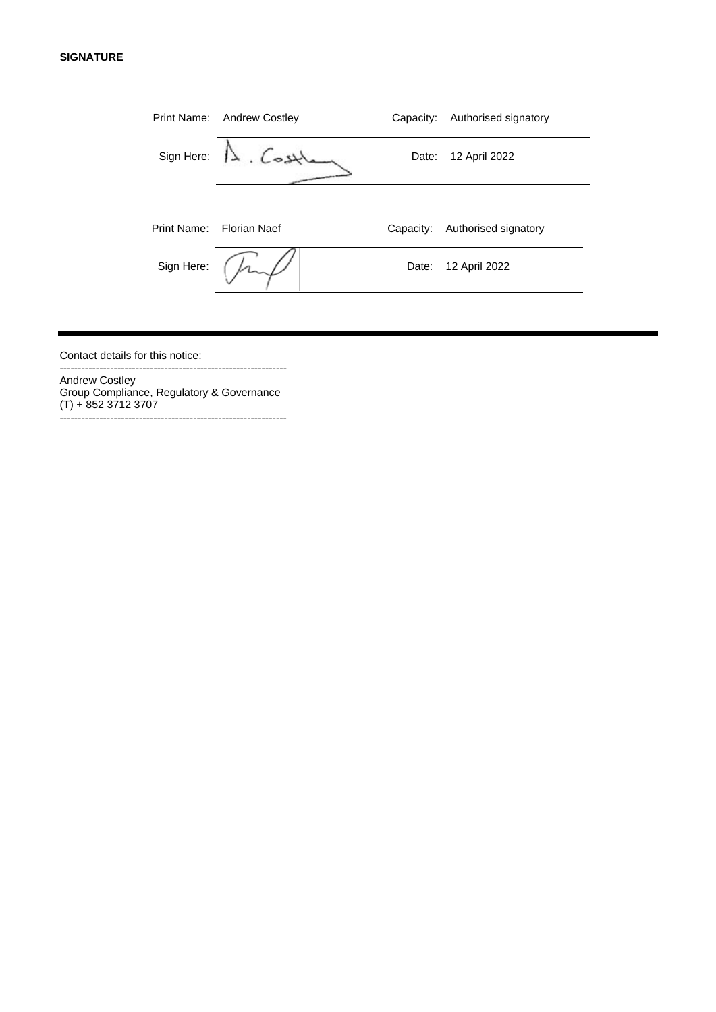#### **SIGNATURE**

|            | Print Name: Andrew Costley | Capacity: | Authorised signatory |
|------------|----------------------------|-----------|----------------------|
| Sign Here: | $\Lambda$ . Cost           | Date:     | 12 April 2022        |
|            |                            |           |                      |
|            | Print Name: Florian Naef   | Capacity: | Authorised signatory |
| Sign Here: |                            | Date:     | 12 April 2022        |
|            |                            |           |                      |

Contact details for this notice:

Andrew Costley Group Compliance, Regulatory & Governance (T) + 852 3712 3707 ---------------------------------------------------------------

---------------------------------------------------------------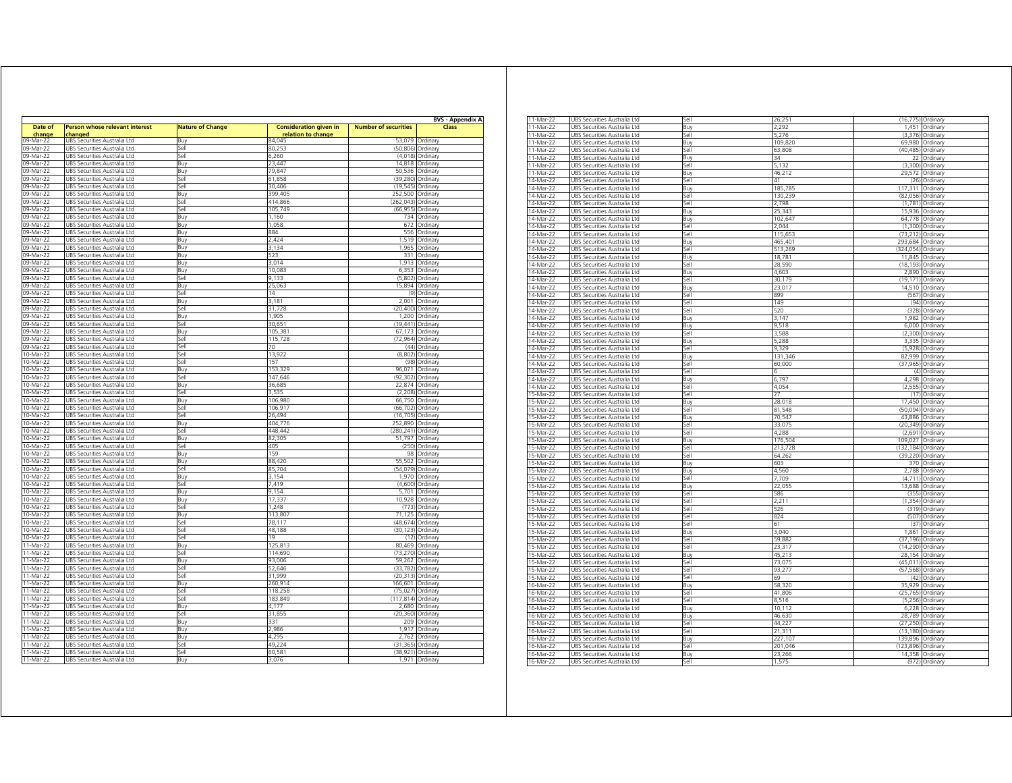|                   |                                           |                         |                                                     |                             | <b>BVS - Appendix A</b> |  |
|-------------------|-------------------------------------------|-------------------------|-----------------------------------------------------|-----------------------------|-------------------------|--|
| Date of<br>change | Person whose relevant interest<br>:hanged | <b>Nature of Change</b> | <b>Consideration given in</b><br>relation to change | <b>Number of securities</b> | Class                   |  |
| 09-Mar-22         | UBS Securities Australia Ltd              | Buy                     | 84,045                                              | 53,079                      | Ordinary                |  |
| 09-Mar-22         | UBS Securities Australia Ltd              | Sell                    | 80,253                                              | (50, 806)                   | Ordinary                |  |
| 09-Mar-22         | UBS Securities Australia Ltd              | Sell                    | 6,260                                               |                             | (4,018) Ordinary        |  |
| 09-Mar-22         | UBS Securities Australia Ltd              | Buy                     | 23 447                                              |                             | 14,818 Ordinary         |  |
| 09-Mar-22         | UBS Securities Australia Ltd              | Buy                     | 79,847                                              |                             | 50,536 Ordinary         |  |
| 09-Mar-22         | UBS Securities Australia Ltd              | Sell                    | 61,858                                              | (39.280)                    | Ordinary                |  |
| 09-Mar-22         | UBS Securities Australia Ltd              | Sell                    | 30,406                                              | (19, 545)                   | Ordinary                |  |
| 09-Mar-22         | UBS Securities Australia Ltd              | <b>B</b> u              | 399 40 <sup>6</sup>                                 | 252.500                     | Ordinary                |  |
| 09-Mar-22         | UBS Securities Australia Ltd              | Sell                    | 414,866                                             | (262, 043)                  | Ordinary                |  |
| 09-Mar-22         | UBS Securities Australia Ltd              | Sell                    | 105.749                                             | (66.955)                    | Ordinary                |  |
| 09-Mar-22         | JBS Securities Australia Ltd              | Buy                     | 1,160                                               | 734                         | Ordinary                |  |
| 09-Mar-22         | JBS Securities Australia Ltd              | Buy                     | 1,058                                               | 672                         | Ordinary                |  |
| 09-Mar-22         | UBS Securities Australia Ltd              | Buy                     | 884                                                 | 556                         | Ordinary                |  |
| 09-Mar-22         | JBS Securities Australia Ltd              | Buy                     | 2,424                                               | 1,519                       | Ordinary                |  |
| 09-Mar-22         | JBS Securities Australia Ltd              | Buy                     | 3.134                                               | 1.965                       | Ordinary                |  |
|                   |                                           |                         | 523                                                 |                             |                         |  |
| 09-Mar-22         | JBS Securities Australia Ltd              | Buy                     |                                                     | 331                         | Ordinary                |  |
| 09-Mar-22         | JBS Securities Australia Ltd              | Buy                     | 3.014                                               | 1.913                       | Ordinary                |  |
| 09-Mar-22         | JBS Securities Australia Ltd              | Buy                     | 10,083                                              | 6,353                       | Ordinary                |  |
| 09-Mar-22         | UBS Securities Australia Ltd              | Sell                    | 9,133                                               | (5,802)                     | Ordinary                |  |
| 09-Mar-22         | UBS Securities Australia Ltd              | Buy                     | 25,063                                              |                             | 15,894 Ordinary         |  |
| 09-Mar-22         | UBS Securities Australia Ltd              | Sell                    | 14                                                  |                             | (9) Ordinary            |  |
| 09-Mar-22         | UBS Securities Australia Ltd              | Buy                     | 3,181                                               |                             | 2,001 Ordinary          |  |
| 09-Mar-22         | UBS Securities Australia Ltd              | Sell                    | 31,728                                              | (20, 400)                   | Ordinary                |  |
| 09-Mar-22         | UBS Securities Australia Ltd              | Buy                     | 1,905                                               |                             | 1,200 Ordinary          |  |
| 09-Mar-22         | UBS Securities Australia Ltd              | Sell                    | 30,651                                              | (19.441)                    | Ordinary                |  |
| 09-Mar-22         | UBS Securities Australia Ltd              | Buy                     | 105,381                                             | 67,173                      | Ordinary                |  |
| 09-Mar-22         | UBS Securities Australia Ltd              | Sell                    | 115,728                                             | (72, 964)                   | Ordinary                |  |
| 09-Mar-22         | UBS Securities Australia Ltd              | Sell                    | 70                                                  | (44)                        | Ordinary                |  |
| 10-Mar-22         | UBS Securities Australia Ltd              | Sell                    | 13,922                                              | (8,802)                     | Ordinary                |  |
| 10-Mar-22         | UBS Securities Australia Ltd              | Sell                    | 157                                                 |                             | (98) Ordinary           |  |
| 10-Mar-22         | JBS Securities Australia Ltd              | Buy                     | 153,329                                             | 96,071                      | Ordinary                |  |
| 10-Mar-22         | JBS Securities Australia Ltd              | Sell                    | 147.646                                             | (92, 302)                   | Ordinary                |  |
| 10-Mar-22         | JBS Securities Australia Ltd              | Buy                     | 36,685                                              | 22,874                      | Ordinary                |  |
| 10-Mar-22         | JBS Securities Australia Ltd              | Sell                    | 3.535                                               | (2, 208)                    | Ordinary                |  |
| 10-Mar-22         | JBS Securities Australia Ltd              | Buy                     | 106,980                                             | 66,750                      | Ordinary                |  |
| 10-Mar-22         | UBS Securities Australia Ltd              | Sell                    | 106.917                                             | (66, 702)                   | Ordinary                |  |
| 10-Mar-22         | UBS Securities Australia Ltd              | Sell                    | 26,494                                              | (16, 705)                   | Ordinary                |  |
| 10-Mar-22         | UBS Securities Australia Ltd              | Buy                     | 404,776                                             |                             | 252,890 Ordinary        |  |
|                   |                                           |                         |                                                     |                             |                         |  |
| 10-Mar-22         | UBS Securities Australia Ltd              | Sell                    | 448,442                                             | (280,241) Ordinary          |                         |  |
| 10-Mar-22         | UBS Securities Australia Ltd              | Buy                     | 82,305                                              |                             | 51,797 Ordinary         |  |
| 10-Mar-22         | UBS Securities Australia Ltd              | Sell                    | 405                                                 |                             | (250) Ordinary          |  |
| 10-Mar-22         | UBS Securities Australia Ltd              | Buy                     | 159                                                 | 98                          | Ordinary                |  |
| 10-Mar-22         | UBS Securities Australia Ltd              | Buy                     | 88.420                                              |                             | 55.502 Ordinary         |  |
| 10-Mar-22         | JBS Securities Australia Ltd              | Sell                    | 85,704                                              | (54.079)                    | Ordinary                |  |
| 10-Mar-22         | UBS Securities Australia Ltd              | Buy                     | 3.154                                               |                             | 1,970 Ordinary          |  |
| 10-Mar-22         | UBS Securities Australia Ltd              | Sell                    | 7,419                                               | (4,600)                     | Ordinary                |  |
| 10-Mar-22         | UBS Securities Australia Ltd              | Buy                     | 9.154                                               |                             | 5,701 Ordinary          |  |
| 10-Mar-22         | UBS Securities Australia Ltd              | Buy                     | 17,337                                              | 10,928                      | Ordinary                |  |
| 10-Mar-22         | UBS Securities Australia Ltd              | Sell                    | 1,248                                               | (773)                       | Ordinary                |  |
| 10-Mar-22         | JBS Securities Australia Ltd              | Buy                     | 113,807                                             | 71,125                      | Ordinary                |  |
| 10-Mar-22         | JBS Securities Australia Ltd              | Sell                    | 78 117                                              | (48.674)                    | Ordinary                |  |
| 10-Mar-22         | JBS Securities Australia Ltd              | Sell                    | 48,188                                              | (30, 123)                   | Ordinary                |  |
| 10-Mar-22         | UBS Securities Australia Ltd              | Sell                    | 19                                                  | (12)                        | Ordinary                |  |
| 11-Mar-22         | JBS Securities Australia Ltd              | Buy                     | 125,813                                             | 80,469                      | Ordinary                |  |
| 11-Mar-22         | UBS Securities Australia Ltd              | Sell                    | 114,690                                             | (73, 270)                   | Ordinary                |  |
| 11-Mar-22         | UBS Securities Australia Ltd              | Buy                     | 93,006                                              |                             | 59,262 Ordinary         |  |
| 11-Mar-22         | UBS Securities Australia Ltd              | Sell                    | 52,646                                              | (33, 782)                   | Ordinary                |  |
| 11-Mar-22         | UBS Securities Australia Ltd              | Sell                    | 31.999                                              |                             | (20,313) Ordinary       |  |
| 11-Mar-22         | JBS Securities Australia Ltd              | Buy                     | 260,914                                             | 166,601                     | Ordinary                |  |
| 11-Mar-22         | UBS Securities Australia Ltd              | Sell                    | 118.258                                             | (75, 027)                   | Ordinary                |  |
| 11-Mar-22         | JBS Securities Australia Ltd              | Sell                    | 183.849                                             | (117, 814)                  | Ordinary                |  |
| 11-Mar-22         | UBS Securities Australia Ltd              | Buy                     | 4.177                                               |                             | 2,680 Ordinary          |  |
| 11-Mar-22         |                                           |                         |                                                     | (20, 360)                   |                         |  |
|                   | JBS Securities Australia Ltd              | sell                    | 31,855<br>331                                       |                             | Ordinary                |  |
| 11-Mar-22         | UBS Securities Australia Ltd              | Buy                     |                                                     | 209                         | Ordinary                |  |
| 11-Mar-22         | UBS Securities Australia Ltd              | Buy                     | 2,986                                               | 1,917                       | Ordinary                |  |
| 11-Mar-22         | UBS Securities Australia Ltd              | Buy                     | 4.295                                               | 2,762                       | Ordinary                |  |
| 11-Mar-2          | JBS Securities Australia Ltd              | Sell                    | 49,224                                              | (31.365)                    | Ordinary                |  |
| 11-Mar-22         | UBS Securities Australia Ltd              | Sell                    | 50,581                                              | (38, 921)                   | Ordinary                |  |
| 11-Mar-22         | UBS Securities Australia Ltd              | Buy                     | 3,076                                               |                             | 1,971 Ordinary          |  |

| 11-Mar-22   | UBS Securities Australia Ltd | Sell | 26,251  | (16, 775)  | Ordinary       |
|-------------|------------------------------|------|---------|------------|----------------|
|             |                              |      | 2.292   | 1.451      |                |
| 11-Mar-22   | UBS Securities Australia Ltd | Buy  |         |            | Ordinary       |
| 11-Mar-22   | UBS Securities Australia Ltd | Sell | 5,276   | (3,376)    | Ordinary       |
| 11-Mar-22   | JBS Securities Australia Ltd | Buy  | 109,820 | 69,980     | Ordinary       |
| 11-Mar-22   | JBS Securities Australia Ltd | sell | 63,808  | (40.485)   | Ordinary       |
| 11-Mar-22   | JBS Securities Australia Ltd | Buy  | RΣ      | 22         | Ordinary       |
| 11-Mar-22   | UBS Securities Australia Ltd | sell | 5,132   | (3,300)    | Ordinary       |
|             |                              | Buy  |         |            |                |
| $11-Mar-22$ | UBS Securities Australia Ltd |      | 46,212  | 29,572     | Ordinary       |
| 14-Mar-22   | UBS Securities Australia Ltd | Sell | 41      |            | (26) Ordinary  |
| 14-Mar-22   | UBS Securities Australia Ltd | Buy  | 185,785 | 117,311    | Ordinary       |
| 14-Mar-22   | UBS Securities Australia Ltd | Sell | 130,239 | (82, 056)  | Ordinary       |
| 14-Mar-22   | UBS Securities Australia Ltd | Sell | 2.798   | (1,781)    | Ordinary       |
| 14-Mar-22   | UBS Securities Australia Ltd | Buy  | 25,343  | 15,936     | Ordinary       |
|             |                              |      |         |            |                |
| 14-Mar-22   | UBS Securities Australia Ltd | Buy  | 102,64  | 64,778     | Ordinary       |
| 14-Mar-22   | UBS Securities Australia Ltd | Sell | 2.044   | (1,300)    | Ordinary       |
| 14-Mar-22   | UBS Securities Australia Ltd | Sell | 115,653 | (73, 212)  | Ordinary       |
| 14-Mar-22   | UBS Securities Australia Ltd | Buy  | 465,401 | 293,684    | Ordinary       |
| 14-Mar-22   | UBS Securities Australia Ltd | sell | 513.269 | (324, 054) | Ordinary       |
| 14-Mar-22   | JBS Securities Australia Ltd | Buy  | 18,781  | 11,845     | Ordinary       |
|             |                              |      |         |            |                |
| 14-Mar-22   | UBS Securities Australia Ltd | Sell | 28,590  | (18, 193)  | Ordinary       |
| $14-Mar-22$ | UBS Securities Australia Ltd | Buy  | 4.603   | 2,890      | Ordinary       |
| 14-Mar-22   | UBS Securities Australia Ltd | Sell | 30,179  | (19, 171)  | Ordinary       |
| 14-Mar-22   | UBS Securities Australia Ltd | Buy  | 23,017  | 14,510     | Ordinary       |
| 14-Mar-22   | UBS Securities Australia Ltd | Sell | 899     |            | (567) Ordinary |
| 14-Mar-22   |                              | Sell | 149     | (94)       |                |
|             | UBS Securities Australia Ltd |      |         |            | Ordinary       |
| 14-Mar-22   | UBS Securities Australia Ltd | Sell | 520     | (328)      | Ordinary       |
| 14-Mar-22   | UBS Securities Australia Ltd | Buy  | 3.147   | 1.982      | Ordinary       |
| 14-Mar-22   | UBS Securities Australia Ltd | Buy  | 9,518   | 6,000      | Ordinary       |
| 14-Mar-22   | UBS Securities Australia Ltd | Sell | 3,588   | (2,300)    | Ordinary       |
| 14-Mar-22   | UBS Securities Australia Ltd | Buy  | 5,288   | 3,335      | Ordinary       |
|             |                              |      |         |            |                |
| 14-Mar-22   | JBS Securities Australia Ltd | jell | 9329    | (5.928)    | Ordinary       |
| 14-Mar-22   | JBS Securities Australia Ltd | Buy  | 131,346 | 82,999     | Ordinary       |
| 14-Mar-22   | UBS Securities Australia Ltd | Sell | 60,000  | (37, 965)  | Ordinary       |
| $14-Mar-22$ | UBS Securities Australia Ltd | Sell |         | (4)        | Ordinary       |
| 14-Mar-22   | UBS Securities Australia Ltd | Buy  | 6,797   | 4,298      | Ordinary       |
|             |                              | Sell | 4,054   | (2, 555)   | Ordinary       |
| 14-Mar-22   | UBS Securities Australia Ltd |      |         |            |                |
| 15-Mar-22   | UBS Securities Australia Ltd | Sell | 27      |            | (17) Ordinary  |
| 15-Mar-22   | UBS Securities Australia Ltd | Buy  | 28,018  | 17,450     | Ordinary       |
| 15-Mar-22   | UBS Securities Australia Ltd | Sell | 81,548  | (50,094)   | Ordinary       |
| 15-Mar-22   | UBS Securities Australia Ltd | Buv  | 70.547  | 43.886     | Ordinary       |
| 15-Mar-22   | JBS Securities Australia Ltd | Sell | 33,075  | (20, 349)  | Ordinary       |
|             |                              |      |         |            |                |
| 15-Mar-22   | UBS Securities Australia Ltd | Sell | 4,288   | (2,691)    | Ordinary       |
| 15-Mar-22   | UBS Securities Australia Ltd | Buy  | 176,504 | 109,027    | Ordinary       |
| 15-Mar-22   | UBS Securities Australia Ltd | Sell | 213,728 | (132, 184) | Ordinary       |
| 15-Mar-22   | UBS Securities Australia Ltd | Sell | 64,262  | (39, 220)  | Ordinary       |
| 15-Mar-22   | UBS Securities Australia Ltd | Buy  | 603     | 370        | Ordinary       |
| 15-Mar-22   | UBS Securities Australia Ltd |      | 4,560   | 2,788      |                |
|             |                              | Buy  |         |            | Ordinary       |
| 15-Mar-22   | UBS Securities Australia Ltd | Sell | 7,709   | (4, 711)   | Ordinary       |
| 15-Mar-22   | UBS Securities Australia Ltd | Buy  | 22,055  | 13,688     | Ordinary       |
| 15-Mar-22   | UBS Securities Australia Ltd | Sell | 586     | (355)      | Ordinary       |
| 15-Mar-22   | UBS Securities Australia Ltd | Sell | 2,21    | (1, 354)   | Ordinary       |
| 15-Mar-22   | UBS Securities Australia Ltd | Sell | 526     | (319)      | Ordinary       |
|             |                              |      | 824     |            |                |
| 15-Mar-22   | UBS Securities Australia Ltd | Sell |         | (507)      | Ordinary       |
| 15-Mar-22   | JBS Securities Australia Ltd | Sell | 61      | (37)       | Ordinary       |
| 15-Mar-22   | UBS Securities Australia Ltd | Buy  | 3.040   | 1,861      | Ordinary       |
| 15-Mar-22   | UBS Securities Australia Ltd | Sell | 59.882  | (37, 196)  | Ordinary       |
| 15-Mar-22   | JBS Securities Australia Ltd | sell | 23,317  | (14, 290)  | Ordinary       |
| 15-Mar-22   | JBS Securities Australia Ltd |      | 45,213  | 28.154     |                |
|             |                              | 3uy  |         |            | Ordinary       |
| 15-Mar-22   | JBS Securities Australia Ltd | sell | 73.075  | (45.011)   | Ordinary       |
| 15-Mar-22   | JBS Securities Australia Ltd | sell | 93,277  | (57, 568)  | Ordinary       |
| 15-Mar-22   | UBS Securities Australia Ltd | sell | 69      | (42)       | Ordinary       |
| 16-Mar-22   | UBS Securities Australia Ltd | Buy  | 58,320  | 35,929     | Ordinary       |
| 16-Mar-22   | UBS Securities Australia Ltd | Sell | 41,806  | (25, 765)  | Ordinary       |
|             |                              |      |         |            |                |
| 16-Mar-22   | UBS Securities Australia Ltd | Sell | 8,516   | (5,256)    | Ordinary       |
| 16-Mar-22   | UBS Securities Australia Ltd | Buy  | 10.112  | 6.228      | Ordinary       |
| 16-Mar-22   | UBS Securities Australia Ltd | Buy  | 46,630  | 28,789     | Ordinary       |
| 16-Mar-22   | UBS Securities Australia Ltd | Sell | 44,227  | (27, 250)  | Ordinary       |
| 16-Mar-22   | UBS Securities Australia Ltd | Sell | 21,311  | (13, 180)  |                |
|             |                              |      |         |            | Ordinary       |
| 16-Mar-22   | UBS Securities Australia Ltd | Buy  | 227,107 | 139,896    | Ordinary       |
| 16-Mar-22   | UBS Securities Australia Ltd | Sell | 201,046 | (123, 896) | Ordinary       |
| 16-Mar-22   | UBS Securities Australia Ltd | Buy  | 23,266  | 14,358     | Ordinary       |
| 16-Mar-22   | UBS Securities Australia Ltd | Sell | 1,575   |            | (972) Ordinary |
|             |                              |      |         |            |                |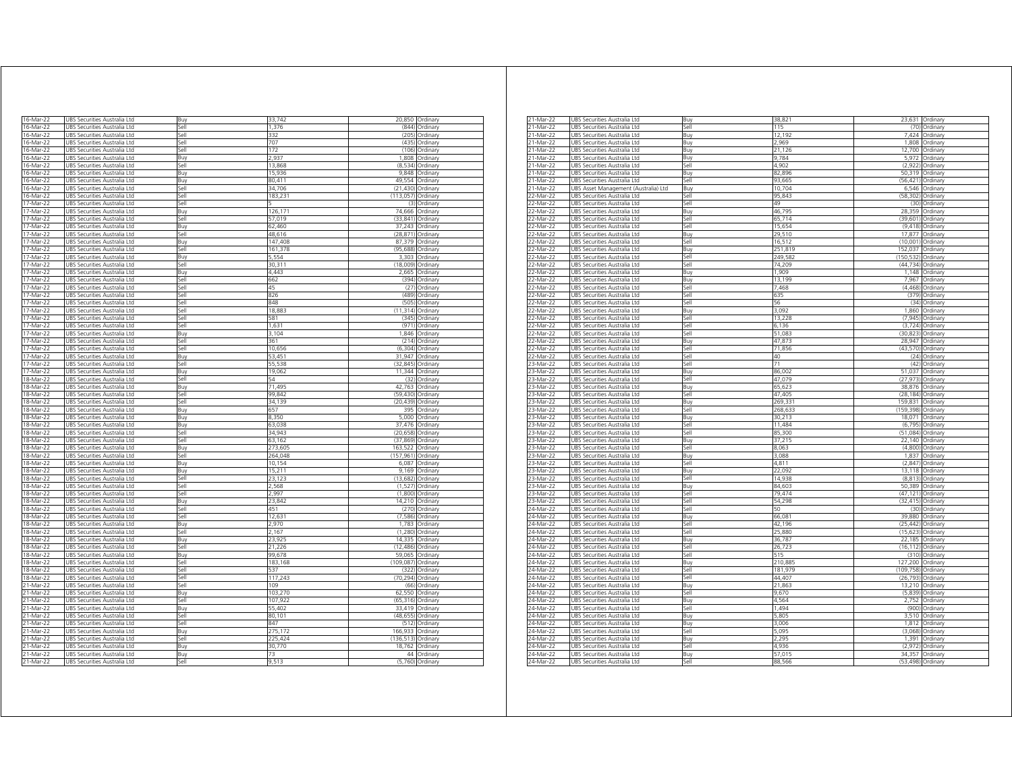| 16-Mar-22 | UBS Securities Australia Ltd | Buy         | 33,742  |            | 20,850 Ordinary      |
|-----------|------------------------------|-------------|---------|------------|----------------------|
| 16-Mar-22 | UBS Securities Australia Ltd | Sell        | 1,376   | (844)      | Ordinary             |
| 16-Mar-22 | UBS Securities Australia Ltd | Sell        | 332     | (205)      | Ordinary             |
| 16-Mar-22 | UBS Securities Australia Ltd | Sell        | 707     | (435)      | Ordinary             |
| 16-Mar-22 | UBS Securities Australia Ltd | Sell        | 172     | (106)      | Ordinary             |
| 16-Mar-22 | UBS Securities Australia Ltd | Buy         | 2.937   | 1,808      | Ordinary             |
| 16-Mar-22 | UBS Securities Australia Ltd | Sell        | 13,868  | (8,534)    | Ordinary             |
| 16-Mar-22 | UBS Securities Australia Ltd | Buy         | 15.936  | 9.848      | Ordinan              |
| 16-Mar-22 | JBS Securities Australia Ltd | Buy         | 80.411  | 49.554     | Ordinan              |
| 16-Mar-22 | UBS Securities Australia Ltd | Sell        | 34,706  | (21, 430)  | Ordinary             |
| 16-Mar-22 | UBS Securities Australia Ltd | sell        | 183.23  | 113.057    | Ordinary             |
| 17-Mar-22 | UBS Securities Australia Ltd | sell        |         | (3)        | Ordinary             |
| 17-Mar-22 | UBS Securities Australia Ltd | Buy         | 126,171 | 74,666     | Ordinary             |
| 17-Mar-22 | UBS Securities Australia Ltd | Sell        | 57,019  | (33, 841)  | Ordinary             |
| 17-Mar-22 | UBS Securities Australia Ltd | Buy         | 62,460  | 37,243     | Ordinary             |
| 17-Mar-22 | UBS Securities Australia Ltd |             | 48,616  | (28, 871)  |                      |
| 17-Mar-22 |                              | Sell<br>Buy | 147,408 | 87,379     | Ordinary<br>Ordinary |
|           | UBS Securities Australia Ltd |             |         |            |                      |
| 17-Mar-22 | UBS Securities Australia Ltd | sell        | 161,378 | (95, 688)  | Ordinary             |
| 17-Mar-22 | UBS Securities Australia Ltd | Buy         | 5,554   | 3,303      | Ordinary             |
| 7-Mar-22  | UBS Securities Australia Ltd | sell        | 30,311  | (18,009)   | Ordinary             |
| 17-Mar-22 | JBS Securities Australia Ltd | Buy         | 4,443   | 2,665      | Ordinary             |
| 17-Mar-22 | JBS Securities Australia Ltd | sell        | 662     | (394)      | Ordinary             |
| 17-Mar-22 | UBS Securities Australia Ltd | sell        | 45      | (27)       | Ordinary             |
| 17-Mar-22 | UBS Securities Australia Ltd | sell        | 826     | (489)      | Ordinary             |
| 17-Mar-22 | JBS Securities Australia Ltd | sell        | 848     | (505)      | Ordinary             |
| 17-Mar-22 | JBS Securities Australia Ltd | sell        | 18,883  | (11, 314)  | Ordinary             |
| 17-Mar-22 | UBS Securities Australia Ltd | Sell        | 581     | (345)      | Ordinary             |
| 17-Mar-22 | UBS Securities Australia Ltd | Sell        | 1,631   | (971)      | Ordinary             |
| 17-Mar-22 | UBS Securities Australia Ltd | Buy         | 3,104   | 1,846      | Ordinary             |
| 17-Mar-22 | UBS Securities Australia Ltd | Sell        | 361     | (214)      | Ordinary             |
| 17-Mar-22 | UBS Securities Australia Ltd | Sell        | 10,656  |            | (6,304) Ordinary     |
| 17-Mar-22 | UBS Securities Australia Ltd | Buy         | 53,451  | 31,947     | Ordinary             |
| 17-Mar-22 | UBS Securities Australia Ltd | Sell        | 55,538  | (32, 845)  | Ordinary             |
| 17-Mar-22 | UBS Securities Australia Ltd | Buy         | 19,062  | 11.344     | Ordinary             |
| 18-Mar-22 | UBS Securities Australia Ltd | Sell        | 54      | (32)       | Ordinary             |
| 18-Mar-22 |                              |             | 71,495  | 42,763     | Ordinary             |
|           | UBS Securities Australia Ltd | Buy         |         |            |                      |
| 18-Mar-22 | UBS Securities Australia Ltd | Sell        | 99.842  | (59.430)   | Ordinary             |
| 18-Mar-22 | UBS Securities Australia Ltd | Sell        | 34,139  | (20, 439)  | Ordinary             |
| 18-Mar-22 | UBS Securities Australia Ltd | Buy         | 657     | 395        | Ordinary             |
| 18-Mar-22 | UBS Securities Australia Ltd | Buv         | 8.350   | 5.000      | Ordinary             |
| 18-Mar-22 | JBS Securities Australia Ltd | Buy         | 63,038  | 37.476     | Ordinary             |
| 18-Mar-22 | JBS Securities Australia Ltd | Sell        | 34.943  | (20, 658)  | Ordinary             |
| 18-Mar-22 | UBS Securities Australia Ltd | Sell        | 63,162  | (37, 869)  | Ordinary             |
| 18-Mar-22 | UBS Securities Australia Ltd | Buy         | 273,605 | 163,522    | Ordinary             |
| 18-Mar-22 | UBS Securities Australia Ltd | Sell        | 264,048 | (157, 961) | Ordinary             |
| 18-Mar-22 | UBS Securities Australia Ltd | Buy         | 10,154  | 6,087      | Ordinary             |
| 18-Mar-22 | UBS Securities Australia Ltd | Buy         | 15,211  | 9,169      | Ordinary             |
| 18-Mar-2  | UBS Securities Australia Ltd | Sell        | 23,123  | (13, 682)  | Ordinan              |
| 18-Mar-22 | UBS Securities Australia Ltd | Sell        | 2,568   | (1,527)    | Ordinary             |
| 18-Mar-22 | UBS Securities Australia Ltd | sell        | 2,997   | (1,800)    | Ordinary             |
| 18-Mar-22 | UBS Securities Australia Ltd | Buy         | 23,842  | 14,210     | Ordinary             |
| 18-Mar-22 | JBS Securities Australia Ltd | iell        | 451     | (270)      | Ordinary             |
| 18-Mar-22 | JBS Securities Australia Ltd | sell        | 12,631  | (7,586)    | Ordinary             |
| 18-Mar-22 | JBS Securities Australia Ltd | Buy         | 2,970   | 1,783      | Ordinary             |
| 18-Mar-22 | JBS Securities Australia Ltd | sell        | 2.167   | (1.280)    | Ordinary             |
| 18-Mar-22 | JBS Securities Australia Ltd | Buy         | 23,925  | 14,335     | Ordinary             |
| 18-Mar-22 |                              | sell        | 21,226  | (12, 486)  |                      |
|           | UBS Securities Australia Ltd |             |         |            | Ordinary             |
| 18-Mar-22 | UBS Securities Australia Ltd | Buy         | 99,678  | 59,065     | Ordinary             |
| 18-Mar-22 | UBS Securities Australia Ltd | Sell        | 183,168 | (109, 087) | Ordinary             |
| 18-Mar-22 | UBS Securities Australia Ltd | Sell        | 537     |            | (322) Ordinary       |
| 18-Mar-22 | UBS Securities Australia Ltd | Sell        | 117,243 |            | (70,294) Ordinary    |
| 21-Mar-22 | UBS Securities Australia Ltd | Sell        | 109     | (66)       | Ordinary             |
| 21-Mar-22 | UBS Securities Australia Ltd | Buy         | 103,270 |            | 62,550 Ordinary      |
| 21-Mar-22 | UBS Securities Australia Ltd | Sell        | 107,922 |            | (65,316) Ordinary    |
| 21-Mar-22 | UBS Securities Australia Ltd | Buy         | 55,402  | 33,419     | Ordinary             |
| 21-Mar-22 | UBS Securities Australia Ltd | Sell        | 80,101  | (48, 655)  | Ordinary             |
| 21-Mar-22 | UBS Securities Australia Ltd | Sell        | 847     | (512)      | Ordinary             |
| 21-Mar-22 | UBS Securities Australia Ltd | Buy         | 275,172 | 166,933    | Ordinary             |
| 21-Mar-22 | JBS Securities Australia Ltd | Sell        | 225,424 | (136, 513) | Ordinary             |
| 21-Mar-22 | JBS Securities Australia Ltd | Rın         | 30.770  | 18,762     | Ordinary             |
| 21-Mar-22 | UBS Securities Australia Ltd | Buy         | 73      |            | 44 Ordinary          |
| 21-Mar-22 | UBS Securities Australia Ltd | Sell        | 9,513   | (5,760)    | Ordinary             |
|           |                              |             |         |            |                      |

| 21-Mar-22 | UBS Securities Australia Ltd         | Buy   | 38,821   |            | 23,631 Ordinary   |
|-----------|--------------------------------------|-------|----------|------------|-------------------|
| 21-Mar-22 | UBS Securities Australia Ltd         | Sell  | 115      |            | (70) Ordinary     |
| 21-Mar-22 | UBS Securities Australia Ltd         | 3uy   | 12,192   | 7,424      | Ordinary          |
| 21-Mar-22 | UBS Securities Australia Ltd         | Buy   | 2,969    | 1,808      | Ordinary          |
| 21-Mar-22 | UBS Securities Australia Ltd         | Buy   | 21,126   | 12,700     | Ordinary          |
| 21-Mar-22 | UBS Securities Australia Ltd         | Buy   | 9.784    | 5,972      | Ordinary          |
| 21-Mar-22 | UBS Securities Australia Ltd         | Sell  | 4,902    | (2,922)    | Ordinary          |
| 21-Mar-22 | UBS Securities Australia Ltd         | Buy   | 82,896   | 50,319     | Ordinary          |
| 21-Mar-22 | UBS Securities Australia Ltd         | Sell  | 93,665   | (56.421)   | Ordinary          |
| 21-Mar-22 | UBS Asset Management (Australia) Ltd | Buy   | 10,704   | 6,546      | Ordinary          |
| 22-Mar-22 | UBS Securities Australia Ltd         | Sell  | 95,843   | (58, 302)  | Ordinary          |
| 22-Mar-22 | UBS Securities Australia Ltd         | Sell  | 49       | (30)       | Ordinary          |
|           |                                      |       | 46,795   | 28.359     |                   |
| 22-Mar-22 | UBS Securities Australia Ltd         | Buy   |          |            | Ordinary          |
| 22-Mar-22 | UBS Securities Australia Ltd         | Sell  | 65.714   | (39, 601)  | Ordinary          |
| 22-Mar-22 | UBS Securities Australia Ltd         | iell  | 15,654   | (9, 418)   | Ordinan           |
| 22-Mar-22 | JBS Securities Australia Ltd         | 3uy   | 29,510   | 17877      | Ordinary          |
| 22-Mar-22 | UBS Securities Australia Ltd         | Sell  | 16,512   | (10.001)   | Ordinary          |
| 22-Mar-22 | UBS Securities Australia Ltd         | Buy   | 251.819  | 152.037    | Ordinary          |
| 22-Mar-22 | UBS Securities Australia Ltd         | Sell  | 249,582  | (150, 532) | Ordinary          |
| 22-Mar-22 | UBS Securities Australia Ltd         | Sell  | 74,209   | (44, 734)  | Ordinary          |
| 22-Mar-22 | UBS Securities Australia Ltd         | Buy   | 1.909    | 1.148      | Ordinary          |
| 22-Mar-22 | UBS Securities Australia Ltd         | Buy   | 13,199   | 7,967      | Ordinary          |
| 22-Mar-22 | UBS Securities Australia Ltd         | Sell  | 7,468    | (4, 468)   | Ordinary          |
| 22-Mar-22 | UBS Securities Australia Ltd         | Sell  | 635      | (379)      | Ordinary          |
| 22-Mar-22 | UBS Securities Australia Ltd         | Sell  | 56       | (34)       | Ordinary          |
|           |                                      |       |          |            |                   |
| 22-Mar-22 | UBS Securities Australia Ltd         | Buy   | 3,092    | 1,860      | Ordinary          |
| 22-Mar-22 | UBS Securities Australia Ltd         | sell  | 13,228   | (7, 945)   | Ordinary          |
| 2-Mar-22  | UBS Securities Australia Ltd         | sell  | 6,136    | (3, 724)   | Ordinary          |
| 22-Mar-22 | UBS Securities Australia Ltd         | sell  | 51.083   | (30.823)   | Ordinary          |
| 22-Mar-22 | UBS Securities Australia Ltd         | Buy   | 47,873   | 28,947     | Ordinary          |
| 22-Mar-22 | UBS Securities Australia Ltd         | Sell  | 71,856   |            | (43,570) Ordinary |
| 22-Mar-22 | UBS Securities Australia Ltd         | Sell  | 40       |            | (24) Ordinary     |
| 23-Mar-22 | UBS Securities Australia Ltd         | Sell  | 71       | (42)       | Ordinary          |
| 23-Mar-22 | UBS Securities Australia Ltd         | Buy   | 86,002   | 51,037     | Ordinary          |
| 23-Mar-22 | UBS Securities Australia Ltd         | Sell  | 47.079   | (27.973)   | Ordinary          |
| 23-Mar-22 | UBS Securities Australia Ltd         | Buy   | 65,623   | 38.876     | Ordinan           |
|           |                                      |       |          |            |                   |
| 23-Mar-22 | UBS Securities Australia Ltd         | Sell  | 47,405   | (28, 184)  | Ordinary          |
| 23-Mar-22 | UBS Securities Australia Ltd         | Buy   | 269,331  | 159,831    | Ordinary          |
| 23-Mar-22 | UBS Securities Australia Ltd         | Sell  | 268,633  | (159, 398) | Ordinary          |
| 23-Mar-22 | UBS Securities Australia Ltd         | 3uy   | 30,213   | 18.071     | Ordinary          |
| 23-Mar-22 | JBS Securities Australia Ltd         | sell  | 11,484   | (6, 795)   | Ordinary          |
| 23-Mar-22 | JBS Securities Australia Ltd         | sell  | 85,300   | (51, 084)  | Ordinary          |
| 23-Mar-22 | UBS Securities Australia Ltd         | Buy   | 37,215   | 22,140     | Ordinary          |
| 23-Mar-22 | UBS Securities Australia Ltd         | Sell  | 8,063    |            | (4,800) Ordinary  |
| 23-Mar-22 | UBS Securities Australia Ltd         | Buy   | 3,088    | 1,837      | Ordinary          |
| 23-Mar-22 | UBS Securities Australia Ltd         | Sell  | 4,811    | (2, 847)   | Ordinary          |
| 23-Mar-22 | UBS Securities Australia Ltd         | Buy   | 22.092   | 13,118     | Ordinary          |
| 3-Mar-22  |                                      | Sell  | 14 9 3 8 | (8.813)    |                   |
|           | UBS Securities Australia Ltd         |       |          |            | Ordinary          |
| 23-Mar-22 | UBS Securities Australia Ltd         | Buy   | 84,603   | 50,389     | Ordinary          |
| 23-Mar-22 | UBS Securities Australia Ltd         | Sell  | 79,474   | (47, 121)  | Ordinary          |
| 23-Mar-22 | UBS Securities Australia Ltd         | Sell  | 54,298   |            | (32,415) Ordinary |
| 24-Mar-22 | UBS Securities Australia Ltd         | sell  | 50       | (30)       | Ordinary          |
| 24-Mar-22 | UBS Securities Australia Ltd         | Buy   | 66,081   | 39,880     | Ordinary          |
| 24-Mar-22 | UBS Securities Australia Ltd         | Sell  | 42,196   | (25, 442)  | Ordinary          |
| 24-Mar-22 | UBS Securities Australia Ltd         | Sell  | 25,880   | (15, 623)  | Ordinary          |
| 24-Mar-22 | UBS Securities Australia Ltd         | Buy   | 36,787   | 22,185     | Ordinary          |
| 24-Mar-22 | UBS Securities Australia Ltd         | Sell  | 26,723   | (16, 112)  | Ordinary          |
| 24-Mar-22 | UBS Securities Australia Ltd         | Sell  | 515      | (310)      | Ordinary          |
| 24-Mar-22 | UBS Securities Australia Ltd         | Buy   | 210,885  | 127.200    | Ordinary          |
|           |                                      |       |          |            |                   |
| 24-Mar-22 | UBS Securities Australia Ltd         | Sell  | 181,979  | (109, 758) | Ordinary          |
| 24-Mar-22 | UBS Securities Australia Ltd         | Sell  | 44,407   | (26, 793)  | Ordinary          |
| 24-Mar-22 | UBS Securities Australia Ltd         | Buv   | 21,863   | 13,210     | Ordinary          |
| 24-Mar-22 | UBS Securities Australia Ltd         | Sell  | 9,670    | (5,839)    | Ordinary          |
| 24-Mar-22 | UBS Securities Australia Ltd         | Зuу   | 4,564    | 2,752      | Ordinary          |
| 4-Mar-22  | UBS Securities Australia Ltd         | sell  | 1,494    | (900)      | Ordinary          |
| 24-Mar-22 | UBS Securities Australia Ltd         | Buy   | 5.805    | 3,510      | Ordinary          |
| 24-Mar-22 | UBS Securities Australia Ltd         | Buy   | 3.006    | 1.812      | Ordinary          |
| 24-Mar-22 | UBS Securities Australia Ltd         | Sell  | 5,095    | (3,068)    | Ordinary          |
| 24-Mar-22 | UBS Securities Australia Ltd         | Buv   | 2,295    | 1,391      | Ordinary          |
| 24-Mar-22 | UBS Securities Australia Ltd         | ا∣م:ّ | 4.936    | (2.972)    |                   |
|           |                                      |       |          |            | Ordinary          |
| 24-Mar-22 | UBS Securities Australia Ltd         | Buv   | 57.015   | 34.357     | Ordinary          |
| 24-Mar-22 | UBS Securities Australia Ltd         | iell  | 88,566   |            | (53,498) Ordinary |
|           |                                      |       |          |            |                   |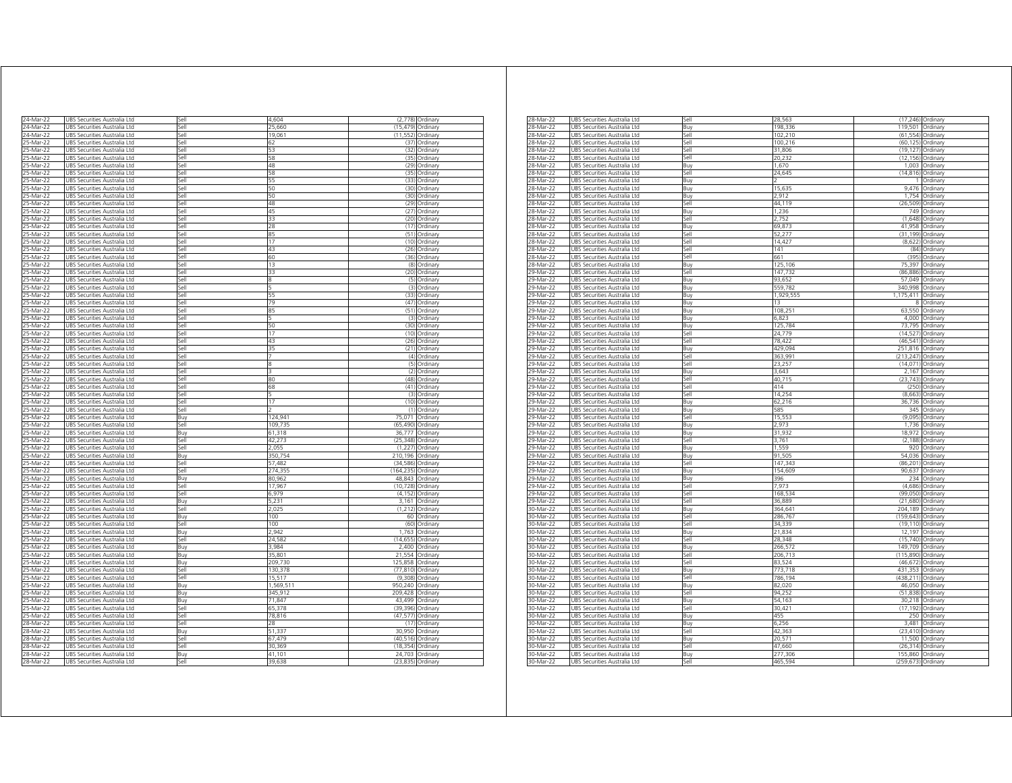| 24-Mar-22 | UBS Securities Australia Ltd           | Sell  | 4,604     |            | (2,778) Ordinary |
|-----------|----------------------------------------|-------|-----------|------------|------------------|
| 24-Mar-22 | JBS Securities Australia Ltd           | Sell  | 25.660    | (15.479)   | Ordinary         |
| 24-Mar-22 | JBS Securities Australia Ltd           | Sell  | 19,061    | (11, 552)  | Ordinary         |
| 25-Mar-22 | <b>JBS Securities Australia Ltd</b>    | Sell  | 62        | (37)       | Ordinary         |
| 25-Mar-22 | JBS Securities Australia Ltd           | Sell  | 53        | (32)       | Ordinary         |
| 25-Mar-22 | JBS Securities Australia Ltd           | Sell  | 58        | (35)       | Ordinary         |
| 25-Mar-22 | UBS Securities Australia Ltd           | Sell  | 48        | (29)       | Ordinary         |
| 25-Mar-22 | UBS Securities Australia Ltd           | Sell  | 58        | (35)       | Ordinary         |
| 5-Mar-2   | Securities Australia Ltd<br><b>JRS</b> | Sell  | 55        | (33)       | Ordinan          |
| 25-Mar-22 | UBS Securities Australia Ltd           | Sell  | 50        | (30)       | Ordinary         |
| 25-Mar-22 | UBS Securities Australia Ltd           | Sell  | 50        | (30)       | Ordinary         |
| 25-Mar-22 | JBS Securities Australia Ltd           | iell  | 48        | (29)       | Ordinary         |
| 75-Mar-22 | JBS Securities Australia Ltd           | iell  | 45        | (27)       | Ordinary         |
| 25-Mar-22 | JBS Securities Australia Ltd           | sell  | 33        | (20)       | Ordinary         |
| 25-Mar-22 | JBS Securities Australia Ltd           | sell  | 28        | (17)       | Ordinary         |
| 25-Mar-22 | JBS Securities Australia Ltd           | iell  | 85        | (51)       | Ordinary         |
| 25-Mar-22 | JBS Securities Australia Ltd           | sell  | 17        | (10)       | Ordinary         |
| 25-Mar-22 | JBS Securities Australia Ltd           | iell  | 43        | (26)       | Ordinary         |
| 25-Mar-22 | UBS Securities Australia Ltd           | Sell  | 60        | (36)       | Ordinary         |
| 25-Mar-22 | UBS Securities Australia Ltd           | Sell  | 13        |            | (8) Ordinary     |
| 25-Mar-22 | UBS Securities Australia Ltd           | Sell  | 33        | (20)       | Ordinary         |
| 25-Mar-22 | UBS Securities Australia Ltd           | Sell  | 8         |            | (5) Ordinary     |
| 25-Mar-22 | UBS Securities Australia Ltd           | Sell  | 5         |            | (3) Ordinary     |
| 25-Mar-22 | UBS Securities Australia Ltd           | Sell  | 55        |            | (33) Ordinary    |
| 25-Mar-22 | UBS Securities Australia Ltd           | Sell  | 79        | (47)       | Ordinary         |
| 25-Mar-22 | JBS Securities Australia Ltd           | Sell  | 85        | (51)       | Ordinary         |
| 25-Mar-22 | UBS Securities Australia Ltd           | Sell  | ς         | (3)        | Ordinary         |
| 25-Mar-22 | JBS Securities Australia Ltd           | Sell  | 50        | (30)       | Ordinary         |
| 25-Mar-22 | UBS Securities Australia Ltd           | Sell  | 17        | (10)       | Ordinary         |
| 25-Mar-22 | UBS Securities Australia Ltd           | Sell  | 43        | (26)       | Ordinary         |
| 25-Mar-22 | UBS Securities Australia Ltd           | Sell  | 35        |            | (21) Ordinary    |
| 25-Mar-22 | UBS Securities Australia Ltd           | sell  |           | (4)        | Ordinary         |
| 25-Mar-22 | JBS Securities Australia Ltd           | iell  | 8         | (5)        | Ordinary         |
| 5-Mar-22  | JBS Securities Australia Ltd           | lle,  |           | (2)        | Ordinary         |
| 5-Mar-22  | JBS Securities Australia Ltd           | iell  | 80        | (48)       | Ordinary         |
| 5-Mar-22  | JBS Securities Australia Ltd           | iellء | 68        | (41)       | Ordinary         |
| 25-Mar-22 | JBS Securities Australia Ltd           | sell  |           | (3)        | Ordinary         |
| 25-Mar-22 | <b>JBS Securities Australia Ltd</b>    | Sell  | 17        | (10)       | Ordinary         |
| 25-Mar-22 | JBS Securities Australia Ltd           | Sell  |           | (1)        | Ordinary         |
| 25-Mar-22 | JBS Securities Australia Ltd           | Buy   | 124,941   | 75,071     | Ordinary         |
| 25-Mar-22 | JBS Securities Australia Ltd           | Sell  | 109,735   | (65, 490)  | Ordinary         |
| 25-Mar-22 | UBS Securities Australia Ltd           | Buy   | 61,318    | 36,777     | Ordinary         |
| 25-Mar-22 | UBS Securities Australia Ltd           | Sell  | 42,273    | (25, 348)  | Ordinary         |
| 25-Mar-22 | UBS Securities Australia Ltd           | Sell  | 2,055     | (1, 227)   | Ordinary         |
| 25-Mar-22 | UBS Securities Australia Ltd           | Buy   | 350,754   | 210,196    | Ordinary         |
| 25-Mar-22 | JBS Securities Australia Ltd           | Sell  | 57,482    | (34, 586)  | Ordinary         |
| 25-Mar-22 | JBS Securities Australia Ltd           | Sell  | 274,355   | (164, 235) | Ordinary         |
| 25-Mar-22 | <b>JBS Securities Australia Ltd</b>    | Buy   | 80.962    | 48.843     | Ordinan          |
| 25-Mar-22 | JBS Securities Australia Ltd           | Sell  | 17,967    | (10, 728)  | Ordinary         |
| 25-Mar-22 | JBS Securities Australia Ltd           | Sell  | 6.979     | (4.152)    | Ordinary         |
| 25-Mar-22 | JBS Securities Australia Ltd           | Buy   | 5,231     | 3,161      | Ordinary         |
| 25-Mar-22 | JBS Securities Australia Ltd           | Sell  | 2.025     | (1, 212)   | Ordinary         |
| 25-Mar-22 | UBS Securities Australia Ltd           | Buy   | 100       | 60         | Ordinary         |
| 25-Mar-22 | UBS Securities Australia Ltd           | Sell  | 100       | (60)       | Ordinary         |
| 25-Mar-22 | UBS Securities Australia Ltd           | Buv   | 2,942     | 1,763      | Ordinary         |
| 25-Mar-22 | JBS Securities Australia Ltd           | iell  | 24,582    | (14, 655)  | Ordinary         |
| 5-Mar-22  | JBS Securities Australia Ltd           | Buv   | 3984      | 2,400      | Ordinary         |
| 25-Mar-22 | JBS Securities Australia Ltd           | Buv   | 35,801    | 21,554     | Ordinary         |
| 25-Mar-22 | JBS Securities Australia Ltd           | Ruv   | 209.730   | 125,858    | Ordinary         |
| 25-Mar-22 | <b>JBS Securities Australia Ltd</b>    | iell  | 130,378   | (77, 810)  | Ordinary         |
| 25-Mar-22 | JBS Securities Australia Ltd           | sell  | 15 517    | (9.308)    | Ordinary         |
| 25-Mar-22 | JBS Securities Australia Ltd           | Buy   | 1,569,511 | 950,240    | Ordinary         |
| 25-Mar-22 | <b>JBS Securities Australia Ltd</b>    | Buy   | 345,912   | 209,428    | Ordinary         |
| 25-Mar-22 | UBS Securities Australia Ltd           | Buy   | 71,847    | 43.499     | Ordinary         |
| 25-Mar-22 | UBS Securities Australia Ltd           | Sell  | 65,378    | (39, 396)  | Ordinary         |
| 25-Mar-22 | UBS Securities Australia Ltd           | Sell  | 78,816    | (47, 577)  | Ordinary         |
| 28-Mar-22 | UBS Securities Australia Ltd           | Sell  | 28        | (17)       | Ordinary         |
| 28-Mar-22 | UBS Securities Australia Ltd           | Buy   | 51,337    | 30,950     | Ordinary         |
| 28-Mar-22 | JBS Securities Australia Ltd           | Sell  | 67.479    | (40, 516)  | Ordinary         |
| 28-Mar-22 | UBS Securities Australia Ltd           | Sell  | 30,369    | (18, 354)  | Ordinan          |
| 28-Mar-22 | JBS Securities Australia Ltd           | Buy   | 41,101    | 24,703     | Ordinary         |
| 28-Mar-22 | UBS Securities Australia Ltd           | Sell  | 39,638    | (23, 835)  | Ordinary         |
|           |                                        |       |           |            |                  |

| 28-Mar-22      | JBS Securities Australia Ltd | Sell | 28,563    |                    | (17,246) Ordinary |
|----------------|------------------------------|------|-----------|--------------------|-------------------|
| 28-Mar-22      | JBS Securities Australia Ltd | Ruv  | 198,336   | 119,501 Ordinary   |                   |
| $28 - $ Mar-22 | UBS Securities Australia Ltd | Sell | 102,210   |                    | (61,554) Ordinary |
| 28-Mar-22      | UBS Securities Australia Ltd | Sell | 100,216   |                    | (60,125) Ordinary |
| 28-Mar-22      | UBS Securities Australia Ltd | Sell | 31,806    |                    | (19,127) Ordinary |
| 28-Mar-22      | UBS Securities Australia Ltd | Sell | 20,232    |                    | (12,156) Ordinary |
| 28-Mar-22      | UBS Securities Australia Ltd | Buy  | 1,670     |                    | 1,003 Ordinary    |
| 28-Mar-22      | JBS Securities Australia Ltd | Sell |           |                    |                   |
|                |                              |      | 24,645    | (14, 816)          | Ordinary          |
| 28-Mar-22      | JBS Securities Australia Ltd | Ruv  |           | 1.                 | Ordinary          |
| 28-Mar-22      | UBS Securities Australia Ltd | Buy  | 15,635    | 9,476              | Ordinary          |
| 28-Mar-22      | UBS Securities Australia Ltd | Buy  | 2,912     | 1,754              | Ordinary          |
| 28-Mar-22      | UBS Securities Australia Ltd | Sell | 44,119    |                    | (26,509) Ordinary |
| 28-Mar-22      | JBS Securities Australia Ltd | 3uy  | 1.236     |                    | 749 Ordinary      |
| 28-Mar-22      | JBS Securities Australia Ltd | Sell | 2,752     | (1,648)            | Ordinary          |
| 28-Mar-22      | JBS Securities Australia Ltd | Buy  | 69,873    | 41,958             | Ordinary          |
| 28-Mar-22      | UBS Securities Australia Ltd | Sell | 52,277    | (31, 199)          | Ordinary          |
| 28-Mar-22      | UBS Securities Australia Ltd | Sell | 14,427    |                    | (8,622) Ordinary  |
| 28-Mar-22      | UBS Securities Australia Ltd | Sell | 141       |                    | (84) Ordinary     |
|                |                              |      |           |                    | (395) Ordinary    |
| 28-Mar-22      | UBS Securities Australia Ltd | Sell | 661       |                    |                   |
| 28-Mar-22      | UBS Securities Australia Ltd | Ruv  | 125,106   |                    | 75,397 Ordinary   |
| 29-Mar-22      | JBS Securities Australia Ltd | Sell | 147,732   | (86, 886)          | Ordinary          |
| 29-Mar-22      | UBS Securities Australia Ltd | Buy  | 93,652    |                    | 57,049 Ordinary   |
| 29-Mar-22      | UBS Securities Australia Ltd | Buy  | 559,782   | 340,998 Ordinary   |                   |
| 29-Mar-22      | UBS Securities Australia Ltd | Buy  | 1,929,555 | 1,175,411 Ordinary |                   |
| 29-Mar-22      | JBS Securities Australia Ltd | 3uy  | 13        |                    | 8 Ordinary        |
| 29-Mar-22      | JBS Securities Australia Ltd | Buy  | 108,251   |                    | 63,550 Ordinary   |
| 29-Mar-22      | JBS Securities Australia Ltd | Buy  | 6.823     |                    | 4,000 Ordinary    |
| 29-Mar-22      | UBS Securities Australia Ltd | Buy  | 125,784   |                    | 73,795 Ordinary   |
| 29-Mar-22      | UBS Securities Australia Ltd | Sell | 24,779    |                    | (14,527) Ordinary |
|                |                              |      |           |                    |                   |
| 29-Mar-22      | UBS Securities Australia Ltd | Sell | 78,422    |                    | (46,541) Ordinary |
| 29-Mar-22      | UBS Securities Australia Ltd | Buy  | 429,094   | 251,816 Ordinary   |                   |
| 29-Mar-22      | UBS Securities Australia Ltd | Sell | 363,99    | (213,247) Ordinary |                   |
| 29-Mar-22      | JBS Securities Australia Ltd | Sell | 23,257    | (14, 071)          | Ordinary          |
| 29-Mar-22      | UBS Securities Australia Ltd | Ruv  | 3,643     | 2,167              | Ordinary          |
| 29-Mar-22      | UBS Securities Australia Ltd | Sell | 40,715    |                    | (23,743) Ordinary |
| 29-Mar-22      | UBS Securities Australia Ltd | Sell | 414       |                    | (250) Ordinary    |
| 29-Mar-22      | UBS Securities Australia Ltd | sell | 14,254    |                    | (8,663) Ordinary  |
| 29-Mar-22      | JBS Securities Australia Ltd | 3uy  | 62,216    | 36.736             | Ordinary          |
| 29-Mar-22      | JBS Securities Australia Ltd | Buv  | 585       |                    | 345 Ordinary      |
| 29-Mar-22      | JBS Securities Australia Ltd | Sell | 15,553    | (9,095)            | Ordinary          |
|                |                              |      | 2.973     |                    | 1,736 Ordinary    |
| 29-Mar-22      | UBS Securities Australia Ltd | Buy  |           |                    |                   |
| 29-Mar-22      | UBS Securities Australia Ltd | Buy  | 31,932    |                    | 18,972 Ordinary   |
| 29-Mar-22      | UBS Securities Australia Ltd | Sell | 3,761     |                    | (2,188) Ordinary  |
| 29-Mar-22      | UBS Securities Australia Ltd | Buy  | 1,559     |                    | 920 Ordinary      |
| 29-Mar-22      | JBS Securities Australia Ltd | Ruv  | 91,505    |                    | 54,036 Ordinary   |
| 29-Mar-22      | JBS Securities Australia Ltd | Sell | 147,343   |                    | (86,201) Ordinary |
| 29-Mar-22      | UBS Securities Australia Ltd | Buy  | 154,609   |                    | 90,637 Ordinary   |
| 29-Mar-22      | UBS Securities Australia Ltd | Buy  | 396       |                    | 234 Ordinary      |
| 29-Mar-22      | UBS Securities Australia Ltd | Sell | 7,973     |                    | (4,686) Ordinary  |
| 29-Mar-22      | JBS Securities Australia Ltd | iell | 168,534   |                    | (99,050) Ordinary |
| 29-Mar-22      | JBS Securities Australia Ltd | Sell | 36,889    |                    | (21,680) Ordinary |
| 30-Mar-22      | JBS Securities Australia Ltd | Buy  | 364,641   | 204,189 Ordinary   |                   |
|                |                              |      |           |                    |                   |
| 30-Mar-22      | UBS Securities Australia Ltd | Sell | 286,767   | (159, 643)         | Ordinary          |
| 30-Mar-22      | UBS Securities Australia Ltd | Sell | 34,339    |                    | (19,110) Ordinary |
| 30-Mar-22      | UBS Securities Australia Ltd | Buy  | 21,834    |                    | 12,197 Ordinary   |
| 30-Mar-22      | UBS Securities Australia Ltd | Sell | 28,348    |                    | (15,740) Ordinary |
| 30-Mar-22      | UBS Securities Australia Ltd | Buy  | 266,572   | 149,709 Ordinary   |                   |
| 30-Mar-22      | JBS Securities Australia Ltd | Sell | 206,713   | (115, 890)         | Ordinary          |
| 30-Mar-22      | UBS Securities Australia Ltd | Sell | 83,524    | (46, 672)          | Ordinary          |
| 30-Mar-22      | UBS Securities Australia Ltd | Buy  | 773,718   | 431,353 Ordinary   |                   |
| 30-Mar-2       | JBS Securities Australia Ltd | Sell | 786,194   | (438, 211)         | Ordinan           |
| 30-Mar-22      | JBS Securities Australia Ltd | Buv  | 82,020    | 46,050             | Ordinary          |
| 0-Mar-22       |                              |      |           | (51.838)           |                   |
|                | JBS Securities Australia Ltd | sell | 94,252    |                    | Ordinary          |
| 30-Mar-22      | JBS Securities Australia Ltd | Buv  | 54.163    |                    | 30,218 Ordinary   |
| 30-Mar-22      | JBS Securities Australia Ltd | Sell | 30,421    | (17, 192)          | Ordinary          |
| 30-Mar-22      | UBS Securities Australia Ltd | Buy  | 455       |                    | 250 Ordinary      |
| 30-Mar-22      | UBS Securities Australia Ltd | Buy  | 6,256     |                    | 3,481 Ordinary    |
| 30-Mar-22      | UBS Securities Australia Ltd | Sell | 42,363    |                    | (23,410) Ordinary |
| 30-Mar-22      | UBS Securities Australia Ltd | Buy  | 20,57     |                    | 11,500 Ordinary   |
| 30-Mar-22      | JBS Securities Australia Ltd | Sell | 47,660    |                    | (26,314) Ordinary |
| 30-Mar-22      | UBS Securities Australia Ltd | Buy  | 277,306   | 155,860 Ordinary   |                   |
|                |                              |      | 465,594   |                    |                   |
| 30-Mar-22      | UBS Securities Australia Ltd | Sell |           | (259,673) Ordinary |                   |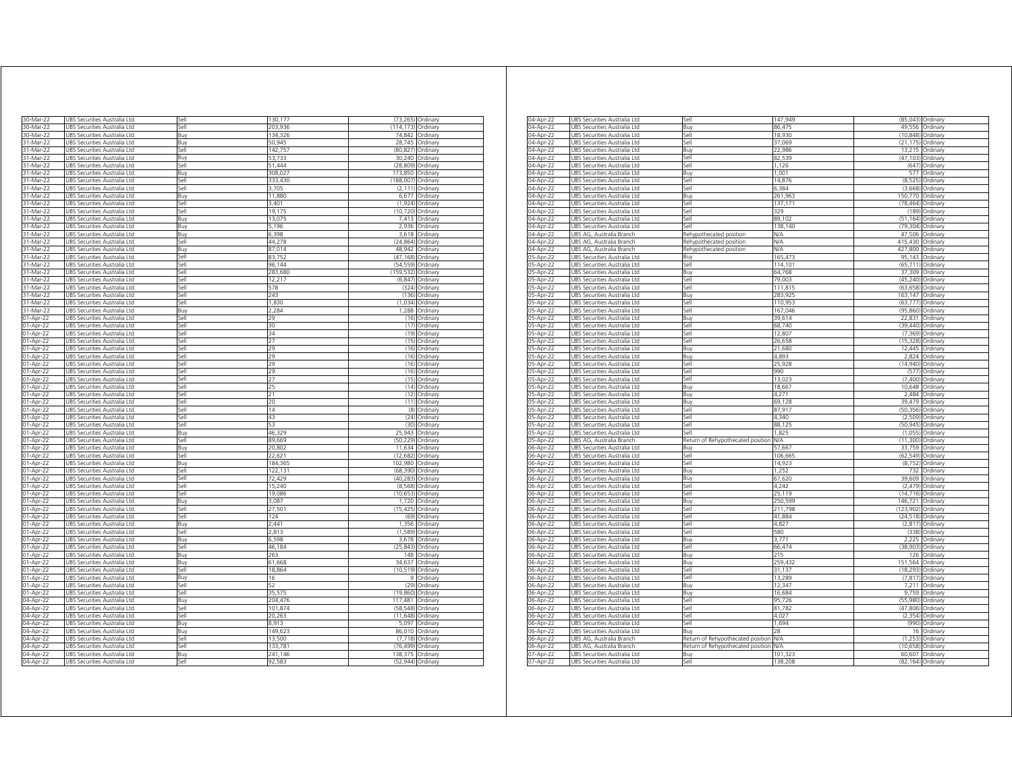| 30-Mar-22               | UBS Securities Australia Ltd                                 | Sell         | 130,177          |                    | (73,265) Ordinary    |
|-------------------------|--------------------------------------------------------------|--------------|------------------|--------------------|----------------------|
| 30-Mar-22               | UBS Securities Australia Ltd                                 | Sell         | 203,936          | (114, 173)         | Ordinary             |
| 30-Mar-22               | UBS Securities Australia Ltd                                 | Buy          | 134,326          | 74,842             | Ordinary             |
| 31-Mar-22               | UBS Securities Australia Ltd                                 | Buy          | 50,945           | 28,745             | Ordinary             |
| 31-Mar-22               | UBS Securities Australia Ltd                                 | Sell         | 142,757          | (80, 827)          | Ordinary             |
| 31-Mar-22               | JBS Securities Australia Ltd                                 | Buy          | 53,733           | 30,240             | Ordinary             |
| 31-Mar-22               | JBS Securities Australia Ltd                                 | Sell         | 51,444           | (28, 809)          | Ordinary             |
| 31-Mar-22               | JBS Securities Australia Ltd                                 | Buy          | 308,02           | 173,850            | Ordinary             |
| 31-Mar-22<br>31-Mar-22  | JBS Securities Australia Ltd<br>UBS Securities Australia Ltd | Sell<br>Sell | 333.430<br>3.705 | 188,007<br>(2.111) | Ordinary             |
| 31-Mar-22               | <b>JBS Securities Australia Ltd</b>                          | Buy          | 11,880           | 6,677              | Ordinary             |
| 31-Mar-22               | JBS Securities Australia Ltd                                 | Sell         | 3,401            | (1, 924)           | Ordinary<br>Ordinary |
| 31-Mar-22               | JBS Securities Australia Ltd                                 |              | 19,175           | (10, 720)          |                      |
| 31-Mar-22               | UBS Securities Australia Ltd                                 | Sell<br>Buy  | 13,075           | 7,413              | Ordinary<br>Ordinary |
| 31-Mar-22               | UBS Securities Australia Ltd                                 | Buy          | 5,196            | 2,936              | Ordinary             |
| 31-Mar-22               | UBS Securities Australia Ltd                                 | Buy          | 6,398            |                    | 3,618 Ordinary       |
| 31-Mar-22               | JBS Securities Australia Ltd                                 | Sell         | 44,278           | (24, 864)          | Ordinary             |
| 31-Mar-22               | JBS Securities Australia Ltd                                 | Buy          | 87,014           | 48,942             | Ordinary             |
| 31-Mar-22               | JBS Securities Australia Ltd                                 | iell         | 83,752           | (47, 168)          | Ordinary             |
| 31-Mar-22               | JBS Securities Australia Ltd                                 | sell         | 96,144           | (54, 559)          | Ordinary             |
| 31-Mar-22               | JBS Securities Australia Ltd                                 | sell         | 283,680          | (159, 532)         | Ordinary             |
| 31-Mar-22               | JBS Securities Australia Ltd                                 | sell         | 12.217           | (6, 847)           | Ordinary             |
| 31-Mar-22               | JBS Securities Australia Ltd                                 | Sell         | 578              | (324)              | Ordinary             |
| 31-Mar-22               | JBS Securities Australia Ltd                                 | sell         | 243              | (136)              | Ordinary             |
| 31-Mar-22               | JBS Securities Australia Ltd                                 | sell         | 1,830            | (1,034)            | Ordinary             |
| 31-Mar-22               | JBS Securities Australia Ltd                                 | Buy          | 2,284            | 1,288              | Ordinary             |
| 01-Apr-22               | UBS Securities Australia Ltd                                 | Sell         | 29               | (16)               | Ordinary             |
| 01-Apr-22               | UBS Securities Australia Ltd                                 | Sell         | 30               |                    | (17) Ordinary        |
| 01-Apr-22               | UBS Securities Australia Ltd                                 | Sell         | 34               | (19)               | Ordinary             |
| 01-Apr-22               | UBS Securities Australia Ltd                                 | Sell         | 27               |                    | (15) Ordinary        |
| 01-Apr-22               | UBS Securities Australia Ltd                                 | Sell         | 29               |                    | (16) Ordinary        |
| 01-Apr-22               | UBS Securities Australia Ltd                                 | Sell         | 29               | (16)               | Ordinary             |
| $\overline{01}$ -Apr-22 | JBS Securities Australia Ltd                                 | Sell         | 29               | (16)               | Ordinary             |
| 01-Apr-22               | JBS Securities Australia Ltd                                 | Sell         | 29               | (16)               | Ordinary             |
| 01-Apr-22               | JBS Securities Australia Ltd                                 | Sell         | 27               | (15)               | Ordinary             |
| 01-Apr-22               | JBS Securities Australia Ltd                                 | Sell         | 25               | (14)               | Ordinary             |
| 01-Apr-22               | JBS Securities Australia Ltd                                 | Sell         | 21               | (12)               | Ordinary             |
| 01-Apr-22               | JBS Securities Australia Ltd                                 | Sell         | 20               | (11)               | Ordinary             |
| 01-Apr-22               | <b>JBS Securities Australia Ltd</b>                          | sell         | 14               | (8)                | Ordinary             |
| 01-Apr-22               | JBS Securities Australia Ltd                                 | sell         | 43               | (24)               | Ordinary             |
| 01-Apr-22               | JBS Securities Australia Ltd                                 | Sell         | 53               | (30)               | Ordinary             |
| 01-Apr-22               | JBS Securities Australia Ltd                                 | Buy          | 46,329           | 25,943             | Ordinary             |
| 01-Apr-22               | UBS Securities Australia Ltd                                 | Sell         | 89,669           | (50, 229)          | Ordinary             |
| 01-Apr-22               | UBS Securities Australia Ltd                                 | Buy          | 20,802           | 11,634             | Ordinary             |
| 01-Apr-22               | JBS Securities Australia Ltd                                 | Sell         | 22,621           | (12, 682)          | Ordinary             |
| 01-Apr-22               | JBS Securities Australia Ltd                                 | Buy          | 184,365          | 102,980            | Ordinarv             |
| 01-Apr-22               | JBS Securities Australia Ltd                                 | iellء        | 122.131          | (68.390)           | Ordinary             |
| 01-Apr-22               | JBS Securities Australia Ltd                                 | iell         | 72,429           | (40, 283)          | Ordinary             |
| 01-Apr-22               | JBS Securities Australia Ltd                                 | iell         | 15,240           | (8, 568)           | Ordinary             |
| 01-Apr-22               | JBS Securities Australia Ltd                                 | ell          | 19,086           | (10, 653)          | Ordinary             |
| 01-Apr-22               | JBS Securities Australia Ltd                                 | Buy          | 3,087            | 1,720              | Ordinary             |
| 01-Apr-22               | JBS Securities Australia Ltd                                 | sell         | 27,501           | (15, 425)          | Ordinary             |
| 01-Apr-22               | <b>JBS Securities Australia Ltd</b>                          | sell         | 124              | (69)               | Ordinary             |
| 01-Apr-22               | JBS Securities Australia Ltd                                 | Buy          | 2.441            | 1,356              | Ordinary             |
| 01-Apr-22               | JBS Securities Australia Ltd                                 | sell         | 2,813            | (1, 589)           | Ordinary             |
| 01-Apr-22               | UBS Securities Australia Ltd                                 | Buy          | 6,598            | 3,678              | Ordinary             |
| 01-Apr-22               | UBS Securities Australia Ltd                                 | Sell         | 46,184           | (25, 843)          | Ordinary             |
| 01-Apr-22               | UBS Securities Australia Ltd                                 | Buy          | 263              |                    | 148 Ordinary         |
| 01-Apr-22               | UBS Securities Australia Ltd                                 | Buy          | 61,668           | 34,637             | Ordinary             |
| 01-Apr-22               | UBS Securities Australia Ltd                                 | Sell         | 18,864           |                    | (10,519) Ordinary    |
| 01-Apr-22               | UBS Securities Australia Ltd                                 | Buy          | 16               |                    | 9 Ordinary           |
| 01-Apr-22               | UBS Securities Australia Ltd                                 | Sell         | 52               |                    | (29) Ordinary        |
| 01-Apr-22               | UBS Securities Australia Ltd                                 | Sell         | 35,575           |                    | (19,860) Ordinary    |
| 04-Apr-22               | UBS Securities Australia Ltd                                 | Buy          | 204.476          | 117,481            | Ordinary             |
| 04-Apr-22               | UBS Securities Australia Ltd                                 | Sell         | 101,874          | (58, 548)          | Ordinary             |
| 04-Apr-22               | JBS Securities Australia Ltd                                 | Sell         | 20,263           | (11, 648)          | Ordinary             |
| 04-Apr-22               | JBS Securities Australia Ltd                                 | Buv          | 8.913            | 5.097              | Ordinary             |
| 04-Apr-22               | <b>JBS</b> Securities Australia Ltd                          | Buy          | 149,623          | 86,010             | Ordinary             |
| 04-Apr-22               | JBS Securities Australia Ltd                                 | Sell         | 13,500           | (7, 718)           | Ordinary             |
| 04-Apr-22               | UBS Securities Australia Ltd                                 | Sell         | 133,781          | (76, 499)          | Ordinary             |
| 04-Apr-22               | UBS Securities Australia Ltd                                 | Buy          | 241,146          | 138,375            | Ordinary             |
| 04-Apr-22               | UBS Securities Australia Ltd                                 | Sell         | 92,583           |                    | (52,944) Ordinary    |
|                         |                                                              |              |                  |                    |                      |

| 04-Apr-22 | UBS Securities Australia Ltd    | Sell                              | 147,949    |            | (85,043) Ordinary |
|-----------|---------------------------------|-----------------------------------|------------|------------|-------------------|
| 04-Apr-22 | UBS Securities Australia Ltd    | Buy                               | 86,475     |            | 49,556 Ordinary   |
| 04-Apr-22 | UBS Securities Australia Ltd    | Sell                              | 18.930     |            | (10,848) Ordinary |
| 04-Apr-22 | UBS Securities Australia Ltd    | Sell                              | 37,069     | (21, 175)  | Ordinary          |
| 04-Apr-22 | JBS Securities Australia Ltd    | Buv                               | 22,986     |            | 13,215 Ordinary   |
| 04-Apr-22 | JBS Securities Australia Ltd    | Sell                              | 82,539     | (47, 103)  | Ordinary          |
| 04-Apr-22 | UBS Securities Australia Ltd    | Sell                              | 1,126      | (647)      | Ordinary          |
| 04-Apr-22 | UBS Securities Australia Ltd    | Buy                               | 1,001      |            | 577 Ordinary      |
| 04-Apr-2  | JBS Securities Australia Ltd    | Sell                              | 14,876     | (8.525     | Ordinary          |
| 04-Apr-22 | JBS Securities Australia Ltd    | $=$                               | 6,384      | (3,668)    | Ordinary          |
| 04-Apr-22 | JBS Securities Australia Ltd    | 3uy                               | 261,963    | 150.770    | Ordinary          |
| 04-Apr-22 | JBS Securities Australia Ltd    | Sell                              | 137.171    | (78.464)   | Ordinary          |
|           |                                 |                                   | 329        | (189       |                   |
| 04-Apr-22 | JBS Securities Australia Ltd    | Sell                              |            |            | Ordinary          |
| 04-Apr-22 | UBS Securities Australia Ltd    | Sell                              | 89,102     | (51, 164)  | Ordinary          |
| 04-Apr-22 | UBS Securities Australia Ltd    | Sell                              | 138,140    | (79, 304)  | Ordinary          |
| 04-Apr-22 | UBS AG, Australia Branch        | Rehypothecated position           | <b>N/A</b> | 47,506     | Ordinary          |
| 04-Apr-22 | UBS AG, Australia Branch        | Rehypothecated position           | N/A        | 415,430    | Ordinary          |
| 04-Apr-22 | UBS AG, Australia Branch        | Rehypothecated position           | N/A        | 427,800    | Ordinary          |
| 05-Apr-22 | JBS Securities Australia Ltd    | Buy                               | 165,473    | 95,143     | Ordinary          |
| 05-Apr-22 | UBS Securities Australia Ltd    | Sell                              | 114,101    | (65, 711)  | Ordinary          |
| 05-Apr-22 | UBS Securities Australia Ltd    | Buy                               | 64,768     |            | 37,309 Ordinary   |
| 05-Apr-22 | JBS Securities Australia Ltd    | Sell                              | 79,003     | (45, 240)  | Ordinary          |
| 05-Apr-22 | UBS Securities Australia Ltd    | sell                              | 111,815    | (63, 658)  | Ordinary          |
| 05-Apr-22 | JBS Securities Australia Ltd    | 3uy                               | 283,925    | 163,147    | Ordinary          |
| 05-Apr-22 | JBS Securities Australia Ltd    | Sell                              | 110,953    | (63, 777)  | Ordinary          |
| 05-Apr-22 | JBS Securities Australia Ltd    | Sell                              | 167,046    | (95, 860)  | Ordinary          |
| 05-Apr-22 | JBS Securities Australia Ltd    | Buy                               | 39,614     | 22,831     | Ordinary          |
| 05-Apr-22 | UBS Securities Australia Ltd    | Sell                              | 68,740     |            | (39,440) Ordinary |
| 05-Apr-22 | UBS Securities Australia Ltd    | Sell                              | 12,807     | (7, 369)   | Ordinary          |
|           | UBS Securities Australia Ltd    |                                   | 26,658     | (15, 328)  |                   |
| 05-Apr-22 |                                 | Sell                              |            |            | Ordinary          |
| 05-Apr-22 | UBS Securities Australia Ltd    | Buy                               | 21,680     |            | 12,445 Ordinary   |
| 05-Apr-22 | JBS Securities Australia Ltd    | Buy                               | 4,893      | 2,824      | Ordinary          |
| 05-Apr-22 | JBS Securities Australia Ltd    | Sell                              | 25,928     | (14.940)   | Ordinary          |
| 05-Apr-22 | UBS Securities Australia Ltd    | Sell                              | 990        | (577)      | Ordinary          |
| 05-Apr-2  | Securities Australia Ltd<br>JBS | Sell                              | 13,023     | (7, 400)   | Ordinan           |
| 05-Apr-22 | UBS Securities Australia Ltd    | Buy                               | 18,667     | 10,648     | Ordinary          |
| 05-Apr-22 | JBS Securities Australia Ltd    | 3uy                               | 4.271      | 2.484      | Ordinary          |
| 05-Apr-22 | JBS Securities Australia Ltd    | Buy                               | 69,128     | 39,479     | Ordinary          |
| 05-Apr-22 | JBS Securities Australia Ltd    | Sell                              | 87,917     | (50, 356)  | Ordinary          |
| 05-Apr-22 | JBS Securities Australia Ltd    | Sell                              | 4.340      | (2, 509)   | Ordinary          |
| 05-Apr-22 | UBS Securities Australia Ltd    | Sell                              | 88,125     | (50, 945)  | Ordinary          |
| 05-Apr-22 | UBS Securities Australia Ltd    | Sell                              | 1,825      | (1,055)    | Ordinary          |
| 05-Apr-22 | UBS AG, Australia Branch        | Return of Rehypothecated position | <b>N/A</b> | (11, 300)  | Ordinary          |
| 06-Apr-22 | UBS Securities Australia Ltd    | Buy                               | 57,667     | 33,759     | Ordinary          |
| 06-Apr-22 | JBS Securities Australia Ltd    | Sell                              | 106,665    | (62, 549)  | Ordinary          |
| 06-Apr-22 | JBS Securities Australia Ltd    | Sell                              | 14,923     | (8, 752)   | Ordinary          |
| 06-Apr-22 | UBS Securities Australia Ltd    | Buy                               | 1,252      |            | 732 Ordinary      |
| 06-Apr-2. | JBS Securities Australia Ltd    | Buy                               | 67,620     | 39,609     | Ordinary          |
| 06-Apr-22 | UBS Securities Australia Ltd    | Sell                              | 4,242      |            | (2,479) Ordinary  |
| 06-Apr-22 | JBS Securities Australia Ltd    | iell                              | 25,119     | (14, 716)  | Ordinary          |
| 06-Apr-22 | JBS Securities Australia Ltd    | Buy                               | 250,599    | 146,721    | Ordinary          |
| 06-Apr-22 | JBS Securities Australia Ltd    | Sell                              | 211,798    | (123, 902) | Ordinary          |
|           |                                 | Sell                              | 41,884     |            |                   |
| 06-Apr-22 | JBS Securities Australia Ltd    |                                   |            | (24, 518)  | Ordinary          |
| 06-Apr-22 | UBS Securities Australia Ltd    | Sell                              | 4,827      |            | (2,817) Ordinary  |
| 06-Apr-22 | UBS Securities Australia Ltd    | Sell                              | 580        |            | (338) Ordinary    |
| 06-Apr-22 | UBS Securities Australia Ltd    | Buy                               | 3,77'      | 2,225      | Ordinary          |
| 06-Apr-22 | UBS Securities Australia Ltd    | Sell                              | 66,474     | (38, 903)  | Ordinary          |
| 06-Apr-22 | UBS Securities Australia Ltd    | Buv                               | 215        |            | 126 Ordinary      |
| 06-Apr-22 | JBS Securities Australia Ltd    | Buy                               | 259,432    | 151,564    | Ordinary          |
| 06-Apr-22 | UBS Securities Australia Ltd    | Sell                              | 31,137     | (18, 293)  | Ordinary          |
| 06-Apr-22 | UBS Securities Australia Ltd    | Sell                              | 13,289     |            | (7,817) Ordinary  |
| 06-Apr-22 | UBS Securities Australia Ltd    | Buy                               | 12,347     | 7,211      | Ordinary          |
| 06-Apr-22 | JBS Securities Australia Ltd    | Buy                               | 16,684     | 9,759      | Ordinary          |
| 06-Apr-22 | JBS Securities Australia Ltd    | ell)                              | 95,726     | (55,980)   | Ordinary          |
| 06-Apr-22 | JBS Securities Australia Ltd    | Sell                              | 81.782     | (47.806)   | Ordinary          |
| 06-Apr-22 | JBS Securities Australia Ltd    | Sell                              | 4,027      | (2, 354)   | Ordinary          |
| 06-Apr-22 | UBS Securities Australia Ltd    | Sell                              | 1,694      | (990)      | Ordinary          |
| 06-Apr-22 | UBS Securities Australia Ltd    | Buy                               | 28         |            | 16 Ordinary       |
| 06-Apr-22 | UBS AG, Australia Branch        | Return of Rehypothecated positior | <b>N/A</b> | (1,253)    | Ordinary          |
| 06-Apr-22 | UBS AG, Australia Branch        | Return of Rehypothecated position | <b>N/A</b> | (10, 658)  | Ordinary          |
| 07-Apr-22 | UBS Securities Australia Ltd    | Buv                               | 101.323    |            | 60,607 Ordinary   |
|           |                                 | Sell                              |            |            |                   |
| 07-Apr-22 | UBS Securities Australia Ltd    |                                   | 138,208    |            | (82,164) Ordinary |